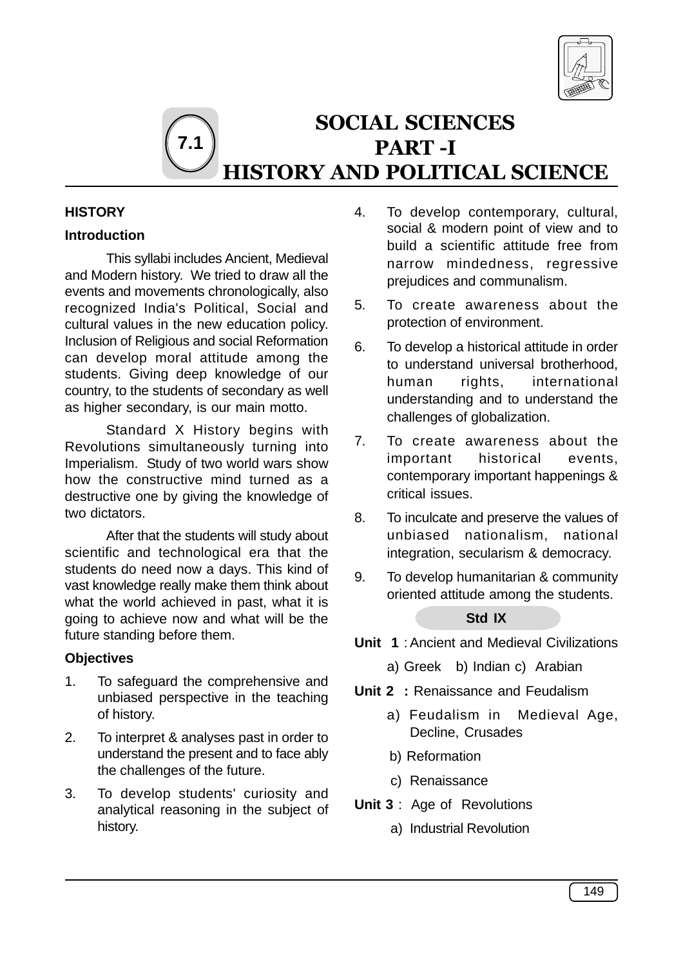

## SOCIAL SCIENCES PART -I HISTORY AND POLITICAL SCIENCE **7.1**

## **HISTORY**

## **Introduction**

This syllabi includes Ancient, Medieval and Modern history. We tried to draw all the events and movements chronologically, also recognized India's Political, Social and cultural values in the new education policy. Inclusion of Religious and social Reformation can develop moral attitude among the students. Giving deep knowledge of our country, to the students of secondary as well as higher secondary, is our main motto.

Standard X History begins with Revolutions simultaneously turning into Imperialism. Study of two world wars show how the constructive mind turned as a destructive one by giving the knowledge of two dictators.

After that the students will study about scientific and technological era that the students do need now a days. This kind of vast knowledge really make them think about what the world achieved in past, what it is going to achieve now and what will be the future standing before them.

## **Objectives**

- 1. To safeguard the comprehensive and unbiased perspective in the teaching of history.
- 2. To interpret & analyses past in order to understand the present and to face ably the challenges of the future.
- 3. To develop students' curiosity and analytical reasoning in the subject of history.
- 4. To develop contemporary, cultural, social & modern point of view and to build a scientific attitude free from narrow mindedness, regressive prejudices and communalism.
- 5. To create awareness about the protection of environment.
- 6. To develop a historical attitude in order to understand universal brotherhood, human rights, international understanding and to understand the challenges of globalization.
- 7. To create awareness about the important historical events, contemporary important happenings & critical issues.
- 8. To inculcate and preserve the values of unbiased nationalism, national integration, secularism & democracy.
- 9. To develop humanitarian & community oriented attitude among the students.

## **Std IX**

- **Unit 1** : Ancient and Medieval Civilizations
	- a) Greek b) Indian c) Arabian
- **Unit 2 :** Renaissance and Feudalism
	- a) Feudalism in Medieval Age, Decline, Crusades
	- b) Reformation
	- c) Renaissance
- **Unit 3** : Age of Revolutions
	- a) Industrial Revolution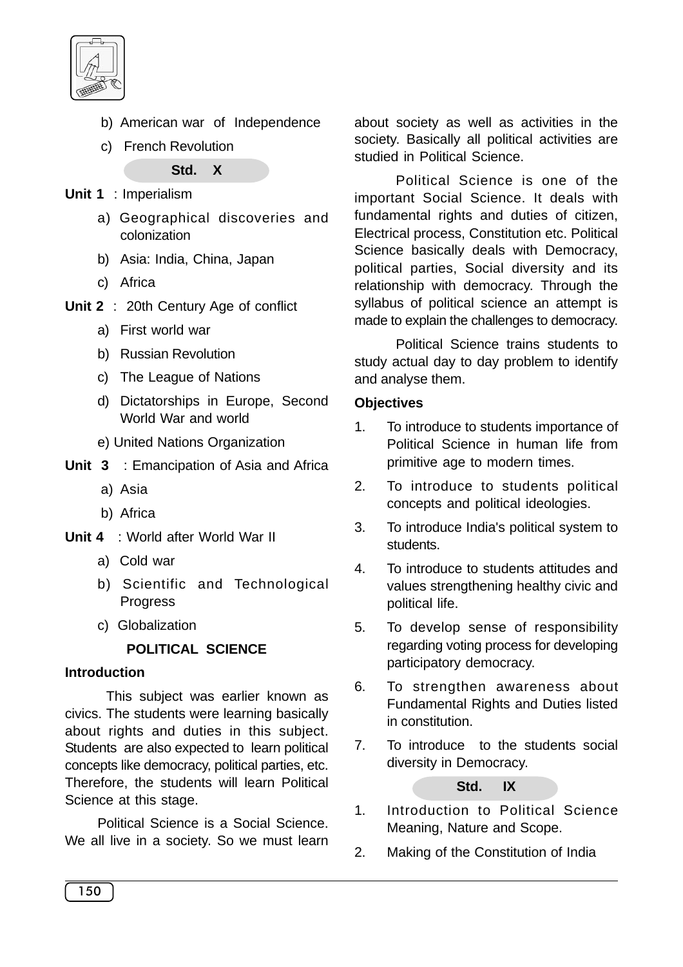

- b) American war of Independence
- c) French Revolution

**Std. X**

- **Unit 1** : Imperialism
	- a) Geographical discoveries and colonization
	- b) Asia: India, China, Japan
	- c) Africa
- **Unit 2** : 20th Century Age of conflict
	- a) First world war
	- b) Russian Revolution
	- c) The League of Nations
	- d) Dictatorships in Europe, Second World War and world
	- e) United Nations Organization
- **Unit 3** : Emancipation of Asia and Africa
	- a) Asia
	- b) Africa
- **Unit 4** : World after World War II
	- a) Cold war
	- b) Scientific and Technological **Progress**
	- c) Globalization

## **POLITICAL SCIENCE**

## **Introduction**

This subject was earlier known as civics. The students were learning basically about rights and duties in this subject. Students are also expected to learn political concepts like democracy, political parties, etc. Therefore, the students will learn Political Science at this stage.

Political Science is a Social Science. We all live in a society. So we must learn about society as well as activities in the society. Basically all political activities are studied in Political Science.

Political Science is one of the important Social Science. It deals with fundamental rights and duties of citizen, Electrical process, Constitution etc. Political Science basically deals with Democracy, political parties, Social diversity and its relationship with democracy. Through the syllabus of political science an attempt is made to explain the challenges to democracy.

Political Science trains students to study actual day to day problem to identify and analyse them.

## **Objectives**

- 1. To introduce to students importance of Political Science in human life from primitive age to modern times.
- 2. To introduce to students political concepts and political ideologies.
- 3. To introduce India's political system to students.
- 4. To introduce to students attitudes and values strengthening healthy civic and political life.
- 5. To develop sense of responsibility regarding voting process for developing participatory democracy.
- 6. To strengthen awareness about Fundamental Rights and Duties listed in constitution.
- 7. To introduce to the students social diversity in Democracy.

**Std. IX**

- 1. Introduction to Political Science Meaning, Nature and Scope.
- 2. Making of the Constitution of India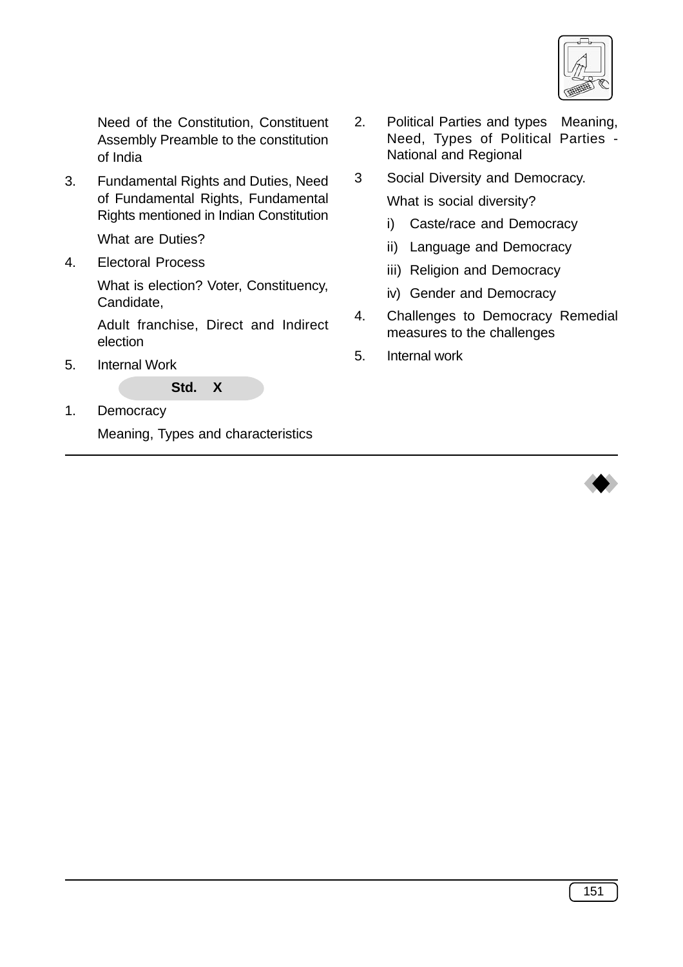

Need of the Constitution, Constituent Assembly Preamble to the constitution of India

3. Fundamental Rights and Duties, Need of Fundamental Rights, Fundamental Rights mentioned in Indian Constitution

What are Duties?

4. Electoral Process

What is election? Voter, Constituency, Candidate,

Adult franchise, Direct and Indirect election

5. Internal Work

## **Std. X**

1. Democracy

Meaning, Types and characteristics

- 2. Political Parties and types Meaning, Need, Types of Political Parties - National and Regional
- 3 Social Diversity and Democracy. What is social diversity?
	- i) Caste/race and Democracy
	- ii) Language and Democracy
	- iii) Religion and Democracy
	- iv) Gender and Democracy
- 4. Challenges to Democracy Remedial measures to the challenges
- 5. Internal work

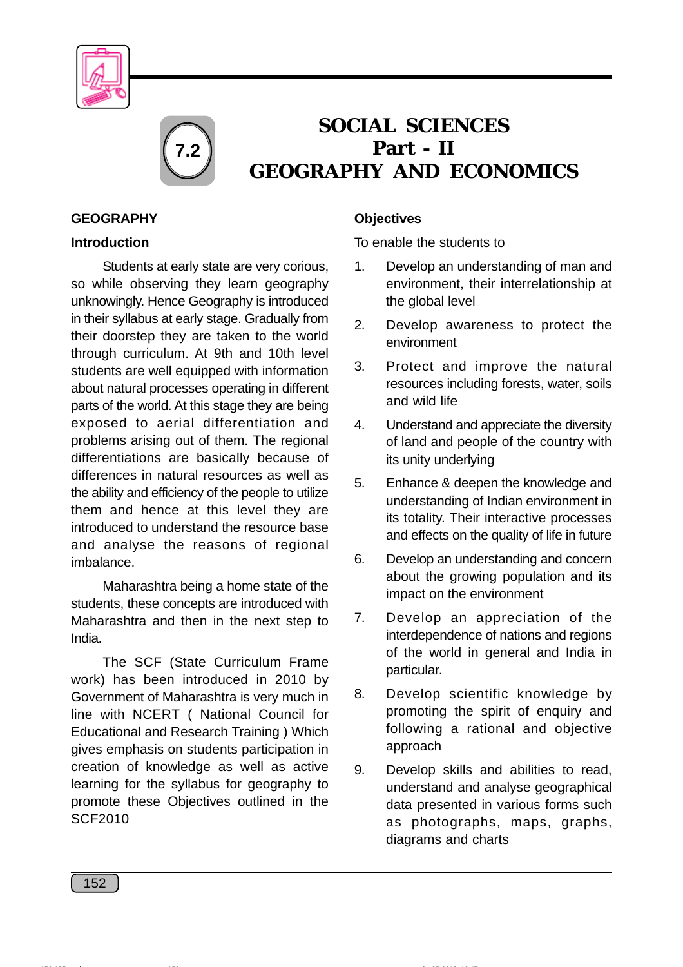



# **SOCIAL SCIENCES Part - II GEOGRAPHY AND ECONOMICS**

## **GEOGRAPHY**

## **Introduction**

Students at early state are very corious, so while observing they learn geography unknowingly. Hence Geography is introduced in their syllabus at early stage. Gradually from their doorstep they are taken to the world through curriculum. At 9th and 10th level students are well equipped with information about natural processes operating in different parts of the world. At this stage they are being exposed to aerial differentiation and problems arising out of them. The regional differentiations are basically because of differences in natural resources as well as the ability and efficiency of the people to utilize them and hence at this level they are introduced to understand the resource base and analyse the reasons of regional imbalance.

Maharashtra being a home state of the students, these concepts are introduced with Maharashtra and then in the next step to India.

The SCF (State Curriculum Frame work) has been introduced in 2010 by Government of Maharashtra is very much in line with NCERT ( National Council for Educational and Research Training ) Which gives emphasis on students participation in creation of knowledge as well as active learning for the syllabus for geography to promote these Objectives outlined in the SCF2010

## **Objectives**

To enable the students to

- 1. Develop an understanding of man and environment, their interrelationship at the global level
- 2. Develop awareness to protect the environment
- 3. Protect and improve the natural resources including forests, water, soils and wild life
- 4. Understand and appreciate the diversity of land and people of the country with its unity underlying
- 5. Enhance & deepen the knowledge and understanding of Indian environment in its totality. Their interactive processes and effects on the quality of life in future
- 6. Develop an understanding and concern about the growing population and its impact on the environment
- 7. Develop an appreciation of the interdependence of nations and regions of the world in general and India in particular.
- 8. Develop scientific knowledge by promoting the spirit of enquiry and following a rational and objective approach
- 9. Develop skills and abilities to read, understand and analyse geographical data presented in various forms such as photographs, maps, graphs, diagrams and charts

152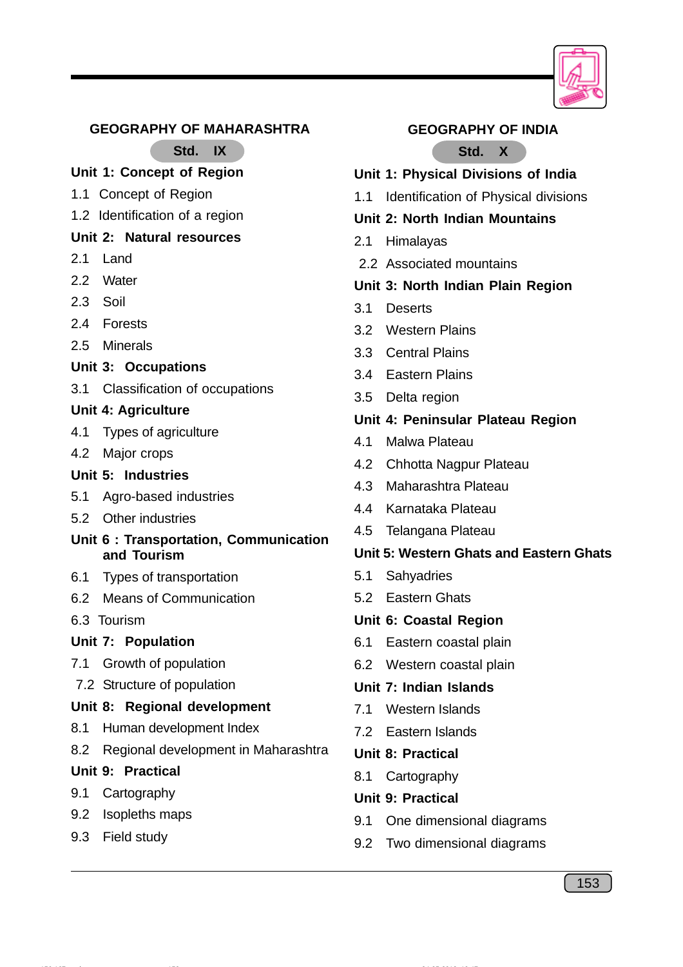

#### **GEOGRAPHY OF MAHARASHTRA**

**Std. IX**

## **Unit 1: Concept of Region**

- 1.1 Concept of Region
- 1.2 Identification of a region

## **Unit 2: Natural resources**

- 2.1 Land
- 2.2 Water
- 2.3 Soil
- 2.4 Forests
- 2.5 Minerals
- **Unit 3: Occupations**
- 3.1 Classification of occupations

#### **Unit 4: Agriculture**

- 4.1 Types of agriculture
- 4.2 Major crops

## **Unit 5: Industries**

- 5.1 Agro-based industries
- 5.2 Other industries
- **Unit 6 : Transportation, Communication and Tourism**
- 6.1 Types of transportation
- 6.2 Means of Communication
- 6.3 Tourism

#### **Unit 7: Population**

- 7.1 Growth of population
- 7.2 Structure of population

#### **Unit 8: Regional development**

- 8.1 Human development Index
- 8.2 Regional development in Maharashtra

#### **Unit 9: Practical**

- 9.1 Cartography
- 9.2 Isopleths maps
- 9.3 Field study

#### **GEOGRAPHY OF INDIA**

## **Std. X**

- **Unit 1: Physical Divisions of India**
- 1.1 Identification of Physical divisions
- **Unit 2: North Indian Mountains**
- 2.1 Himalayas
- 2.2 Associated mountains

## **Unit 3: North Indian Plain Region**

- 3.1 Deserts
- 3.2 Western Plains
- 3.3 Central Plains
- 3.4 Eastern Plains
- 3.5 Delta region

#### **Unit 4: Peninsular Plateau Region**

- 4.1 Malwa Plateau
- 4.2 Chhotta Nagpur Plateau
- 4.3 Maharashtra Plateau
- 4.4 Karnataka Plateau
- 4.5 Telangana Plateau

#### **Unit 5: Western Ghats and Eastern Ghats**

- 5.1 Sahyadries
- 5.2 Eastern Ghats

#### **Unit 6: Coastal Region**

- 6.1 Eastern coastal plain
- 6.2 Western coastal plain

#### **Unit 7: Indian Islands**

- 7.1 Western Islands
- 7.2 Eastern Islands
- **Unit 8: Practical**
- 8.1 Cartography
- **Unit 9: Practical**
- 9.1 One dimensional diagrams
- 9.2 Two dimensional diagrams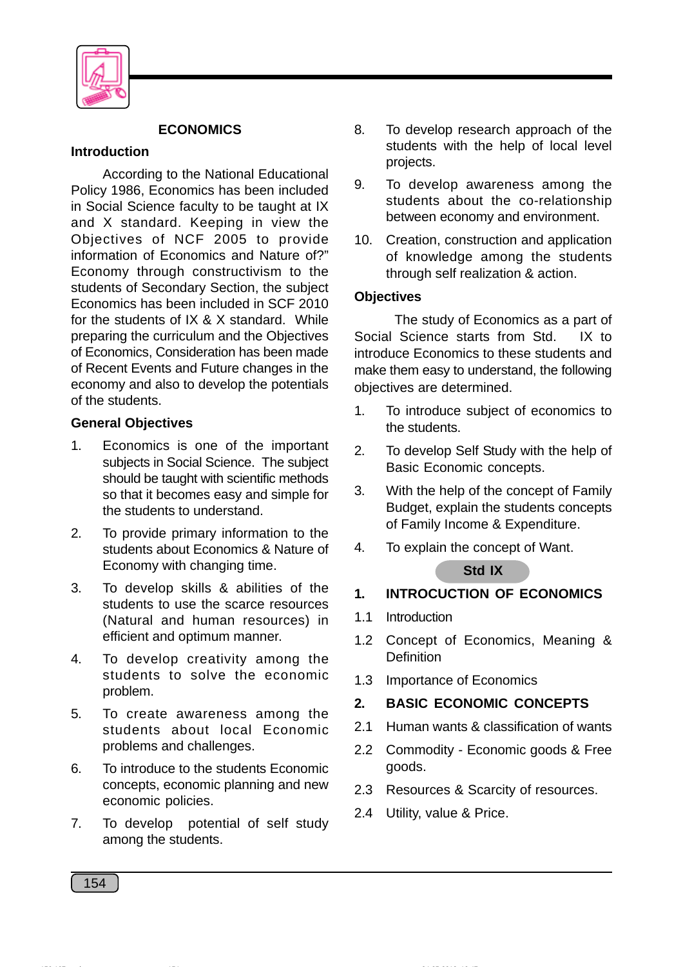

## **ECONOMICS**

#### **Introduction**

According to the National Educational Policy 1986, Economics has been included in Social Science faculty to be taught at IX and X standard. Keeping in view the Objectives of NCF 2005 to provide information of Economics and Nature of?" Economy through constructivism to the students of Secondary Section, the subject Economics has been included in SCF 2010 for the students of IX & X standard. While preparing the curriculum and the Objectives of Economics, Consideration has been made of Recent Events and Future changes in the economy and also to develop the potentials of the students.

## **General Objectives**

- 1. Economics is one of the important subjects in Social Science. The subject should be taught with scientific methods so that it becomes easy and simple for the students to understand.
- 2. To provide primary information to the students about Economics & Nature of Economy with changing time.
- 3. To develop skills & abilities of the students to use the scarce resources (Natural and human resources) in efficient and optimum manner.
- 4. To develop creativity among the students to solve the economic problem.
- 5. To create awareness among the students about local Economic problems and challenges.
- 6. To introduce to the students Economic concepts, economic planning and new economic policies.
- 7. To develop potential of self study among the students.
- 8. To develop research approach of the students with the help of local level projects.
- 9. To develop awareness among the students about the co-relationship between economy and environment.
- 10. Creation, construction and application of knowledge among the students through self realization & action.

#### **Objectives**

The study of Economics as a part of Social Science starts from Std. IX to introduce Economics to these students and make them easy to understand, the following objectives are determined.

- 1. To introduce subject of economics to the students.
- 2. To develop Self Study with the help of Basic Economic concepts.
- 3. With the help of the concept of Family Budget, explain the students concepts of Family Income & Expenditure.
- 4. To explain the concept of Want.

## **Std IX**

## **1. INTROCUCTION OF ECONOMICS**

- 1.1 Introduction
- 1.2 Concept of Economics, Meaning & **Definition**
- 1.3 Importance of Economics

## **2. BASIC ECONOMIC CONCEPTS**

- 2.1 Human wants & classification of wants
- 2.2 Commodity Economic goods & Free goods.
- 2.3 Resources & Scarcity of resources.
- 2.4 Utility, value & Price.